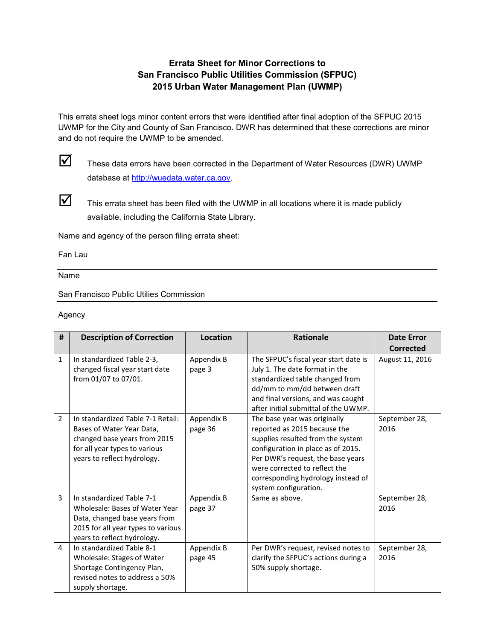## **Errata Sheet for Minor Corrections to San Francisco Public Utilities Commission (SFPUC) 2015 Urban Water Management Plan (UWMP)**

This errata sheet logs minor content errors that were identified after final adoption of the SFPUC 2015 UWMP for the City and County of San Francisco. DWR has determined that these corrections are minor and do not require the UWMP to be amended.



 $\blacksquare$  These data errors have been corrected in the Department of Water Resources (DWR) UWMP database at [http://wuedata.water.ca.gov.](http://wuedata.water.ca.gov/) 



 $\triangledown$  This errata sheet has been filed with the UWMP in all locations where it is made publicly available, including the California State Library.

Name and agency of the person filing errata sheet:

Fan Lau

Name

San Francisco Public Utilies Commission

### Agency

| #            | <b>Description of Correction</b>                                                                                                                                  | Location              | <b>Rationale</b>                                                                                                                                                                                                                                                             | <b>Date Error</b>     |
|--------------|-------------------------------------------------------------------------------------------------------------------------------------------------------------------|-----------------------|------------------------------------------------------------------------------------------------------------------------------------------------------------------------------------------------------------------------------------------------------------------------------|-----------------------|
|              |                                                                                                                                                                   |                       |                                                                                                                                                                                                                                                                              | <b>Corrected</b>      |
| $\mathbf{1}$ | In standardized Table 2-3,<br>changed fiscal year start date<br>from 01/07 to 07/01.                                                                              | Appendix B<br>page 3  | The SFPUC's fiscal year start date is<br>July 1. The date format in the<br>standardized table changed from<br>dd/mm to mm/dd between draft<br>and final versions, and was caught<br>after initial submittal of the UWMP.                                                     | August 11, 2016       |
| 2            | In standardized Table 7-1 Retail:<br>Bases of Water Year Data,<br>changed base years from 2015<br>for all year types to various<br>years to reflect hydrology.    | Appendix B<br>page 36 | The base year was originally<br>reported as 2015 because the<br>supplies resulted from the system<br>configuration in place as of 2015.<br>Per DWR's request, the base years<br>were corrected to reflect the<br>corresponding hydrology instead of<br>system configuration. | September 28,<br>2016 |
| 3            | In standardized Table 7-1<br>Wholesale: Bases of Water Year<br>Data, changed base years from<br>2015 for all year types to various<br>years to reflect hydrology. | Appendix B<br>page 37 | Same as above.                                                                                                                                                                                                                                                               | September 28,<br>2016 |
| 4            | In standardized Table 8-1<br>Wholesale: Stages of Water<br>Shortage Contingency Plan,<br>revised notes to address a 50%<br>supply shortage.                       | Appendix B<br>page 45 | Per DWR's request, revised notes to<br>clarify the SFPUC's actions during a<br>50% supply shortage.                                                                                                                                                                          | September 28,<br>2016 |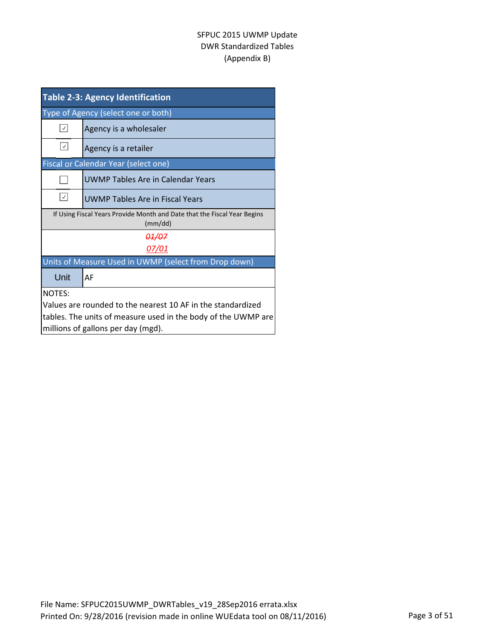| <b>Table 2-3: Agency Identification</b>                                             |                                        |  |  |  |
|-------------------------------------------------------------------------------------|----------------------------------------|--|--|--|
| Type of Agency (select one or both)                                                 |                                        |  |  |  |
| $ \vee $                                                                            | Agency is a wholesaler                 |  |  |  |
| $\checkmark$                                                                        | Agency is a retailer                   |  |  |  |
| <b>Fiscal or Calendar Year (select one)</b>                                         |                                        |  |  |  |
|                                                                                     | UWMP Tables Are in Calendar Years      |  |  |  |
| $\checkmark$                                                                        | <b>UWMP Tables Are in Fiscal Years</b> |  |  |  |
| If Using Fiscal Years Provide Month and Date that the Fiscal Year Begins<br>(mm/dd) |                                        |  |  |  |
| <del>01/07</del>                                                                    |                                        |  |  |  |
| <u>07/01</u>                                                                        |                                        |  |  |  |
| Units of Measure Used in UWMP (select from Drop down)                               |                                        |  |  |  |
| Unit                                                                                | AF                                     |  |  |  |
| <b>NOTES:</b>                                                                       |                                        |  |  |  |
| Values are rounded to the nearest 10 AF in the standardized                         |                                        |  |  |  |
| tables. The units of measure used in the body of the UWMP are                       |                                        |  |  |  |
|                                                                                     | millions of gallons per day (mgd).     |  |  |  |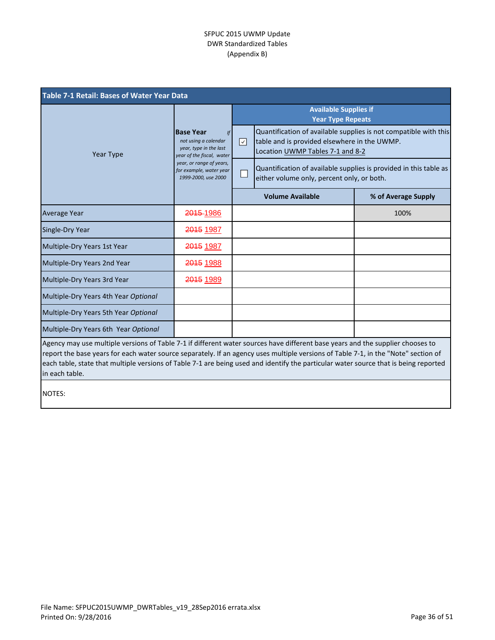| <b>Table 7-1 Retail: Bases of Water Year Data</b>                                                                                                                                                                                                                                                                                                                                                                              |                                                                                                                                                                                            |                                                                                                                                                           |                     |  |
|--------------------------------------------------------------------------------------------------------------------------------------------------------------------------------------------------------------------------------------------------------------------------------------------------------------------------------------------------------------------------------------------------------------------------------|--------------------------------------------------------------------------------------------------------------------------------------------------------------------------------------------|-----------------------------------------------------------------------------------------------------------------------------------------------------------|---------------------|--|
|                                                                                                                                                                                                                                                                                                                                                                                                                                | <b>Base Year</b><br><b>If</b><br>not using a calendar<br>year, type in the last<br>year of the fiscal, water<br>year, or range of years,<br>for example, water year<br>1999-2000, use 2000 | <b>Available Supplies if</b><br><b>Year Type Repeats</b>                                                                                                  |                     |  |
| Year Type                                                                                                                                                                                                                                                                                                                                                                                                                      |                                                                                                                                                                                            | Quantification of available supplies is not compatible with this<br>☑<br>table and is provided elsewhere in the UWMP.<br>Location UWMP Tables 7-1 and 8-2 |                     |  |
|                                                                                                                                                                                                                                                                                                                                                                                                                                |                                                                                                                                                                                            | Quantification of available supplies is provided in this table as<br>L<br>either volume only, percent only, or both.                                      |                     |  |
|                                                                                                                                                                                                                                                                                                                                                                                                                                |                                                                                                                                                                                            | <b>Volume Available</b>                                                                                                                                   | % of Average Supply |  |
| <b>Average Year</b>                                                                                                                                                                                                                                                                                                                                                                                                            | 2015-1986                                                                                                                                                                                  |                                                                                                                                                           | 100%                |  |
| Single-Dry Year                                                                                                                                                                                                                                                                                                                                                                                                                | 2015 1987                                                                                                                                                                                  |                                                                                                                                                           |                     |  |
| Multiple-Dry Years 1st Year                                                                                                                                                                                                                                                                                                                                                                                                    | 2015 1987                                                                                                                                                                                  |                                                                                                                                                           |                     |  |
| Multiple-Dry Years 2nd Year                                                                                                                                                                                                                                                                                                                                                                                                    | 2015 1988                                                                                                                                                                                  |                                                                                                                                                           |                     |  |
| Multiple-Dry Years 3rd Year                                                                                                                                                                                                                                                                                                                                                                                                    | 2015 1989                                                                                                                                                                                  |                                                                                                                                                           |                     |  |
| Multiple-Dry Years 4th Year Optional                                                                                                                                                                                                                                                                                                                                                                                           |                                                                                                                                                                                            |                                                                                                                                                           |                     |  |
| Multiple-Dry Years 5th Year Optional                                                                                                                                                                                                                                                                                                                                                                                           |                                                                                                                                                                                            |                                                                                                                                                           |                     |  |
| Multiple-Dry Years 6th Year Optional                                                                                                                                                                                                                                                                                                                                                                                           |                                                                                                                                                                                            |                                                                                                                                                           |                     |  |
| Agency may use multiple versions of Table 7-1 if different water sources have different base years and the supplier chooses to<br>report the base years for each water source separately. If an agency uses multiple versions of Table 7-1, in the "Note" section of<br>each table, state that multiple versions of Table 7-1 are being used and identify the particular water source that is being reported<br>in each table. |                                                                                                                                                                                            |                                                                                                                                                           |                     |  |
| <b>NOTES:</b>                                                                                                                                                                                                                                                                                                                                                                                                                  |                                                                                                                                                                                            |                                                                                                                                                           |                     |  |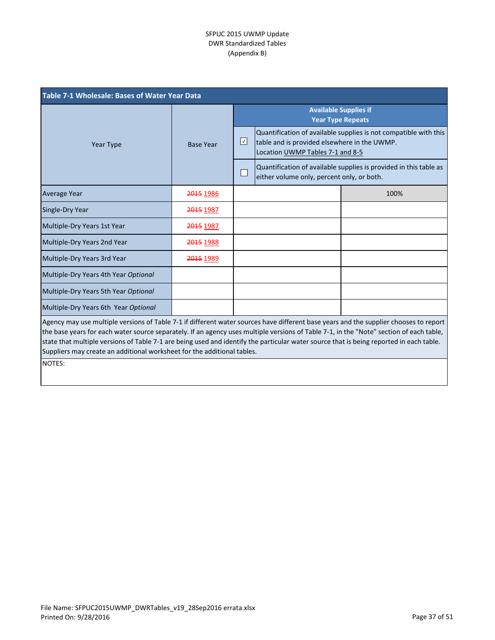| <b>Table 7-1 Wholesale: Bases of Water Year Data</b>                                                                                                                                                                                                                                                                                                                                                                                                                                                   |                  |                                                                                                                                                           |                                            |                                                                   |
|--------------------------------------------------------------------------------------------------------------------------------------------------------------------------------------------------------------------------------------------------------------------------------------------------------------------------------------------------------------------------------------------------------------------------------------------------------------------------------------------------------|------------------|-----------------------------------------------------------------------------------------------------------------------------------------------------------|--------------------------------------------|-------------------------------------------------------------------|
|                                                                                                                                                                                                                                                                                                                                                                                                                                                                                                        | <b>Base Year</b> | <b>Available Supplies if</b><br><b>Year Type Repeats</b>                                                                                                  |                                            |                                                                   |
| Year Type                                                                                                                                                                                                                                                                                                                                                                                                                                                                                              |                  | Quantification of available supplies is not compatible with this<br>☑<br>table and is provided elsewhere in the UWMP.<br>Location UWMP Tables 7-1 and 8-5 |                                            |                                                                   |
|                                                                                                                                                                                                                                                                                                                                                                                                                                                                                                        |                  |                                                                                                                                                           | either volume only, percent only, or both. | Quantification of available supplies is provided in this table as |
| <b>Average Year</b>                                                                                                                                                                                                                                                                                                                                                                                                                                                                                    | 2015 1986        |                                                                                                                                                           |                                            | 100%                                                              |
| Single-Dry Year                                                                                                                                                                                                                                                                                                                                                                                                                                                                                        | 2015 1987        |                                                                                                                                                           |                                            |                                                                   |
| Multiple-Dry Years 1st Year                                                                                                                                                                                                                                                                                                                                                                                                                                                                            | 2015 1987        |                                                                                                                                                           |                                            |                                                                   |
| Multiple-Dry Years 2nd Year                                                                                                                                                                                                                                                                                                                                                                                                                                                                            | 2015 1988        |                                                                                                                                                           |                                            |                                                                   |
| Multiple-Dry Years 3rd Year                                                                                                                                                                                                                                                                                                                                                                                                                                                                            | 2015 1989        |                                                                                                                                                           |                                            |                                                                   |
| Multiple-Dry Years 4th Year Optional                                                                                                                                                                                                                                                                                                                                                                                                                                                                   |                  |                                                                                                                                                           |                                            |                                                                   |
| Multiple-Dry Years 5th Year Optional                                                                                                                                                                                                                                                                                                                                                                                                                                                                   |                  |                                                                                                                                                           |                                            |                                                                   |
| Multiple-Dry Years 6th Year Optional                                                                                                                                                                                                                                                                                                                                                                                                                                                                   |                  |                                                                                                                                                           |                                            |                                                                   |
| Agency may use multiple versions of Table 7-1 if different water sources have different base years and the supplier chooses to report<br>the base years for each water source separately. If an agency uses multiple versions of Table 7-1, in the "Note" section of each table,<br>state that multiple versions of Table 7-1 are being used and identify the particular water source that is being reported in each table.<br>Suppliers may create an additional worksheet for the additional tables. |                  |                                                                                                                                                           |                                            |                                                                   |
| <b>NOTES:</b>                                                                                                                                                                                                                                                                                                                                                                                                                                                                                          |                  |                                                                                                                                                           |                                            |                                                                   |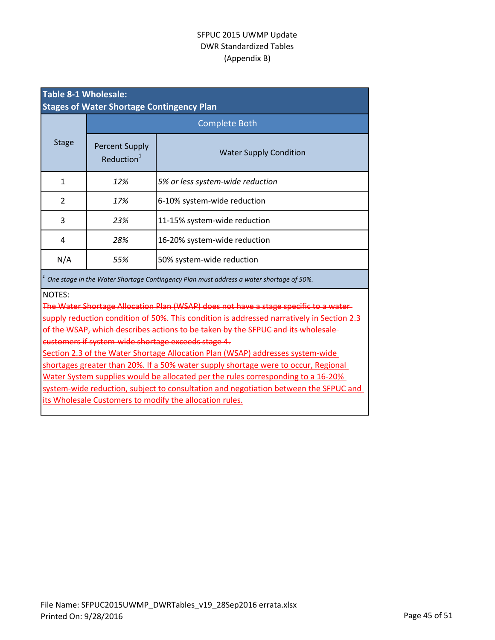| <b>Table 8-1 Wholesale:</b><br><b>Stages of Water Shortage Contingency Plan</b>                                                                                                                    |                                                 |                                  |  |  |
|----------------------------------------------------------------------------------------------------------------------------------------------------------------------------------------------------|-------------------------------------------------|----------------------------------|--|--|
|                                                                                                                                                                                                    | <b>Complete Both</b>                            |                                  |  |  |
| <b>Stage</b>                                                                                                                                                                                       | <b>Percent Supply</b><br>Reduction <sup>1</sup> | <b>Water Supply Condition</b>    |  |  |
| $\mathbf{1}$                                                                                                                                                                                       | 12%                                             | 5% or less system-wide reduction |  |  |
| $\overline{2}$                                                                                                                                                                                     | 17%<br>6-10% system-wide reduction              |                                  |  |  |
| 3                                                                                                                                                                                                  | 23%                                             | 11-15% system-wide reduction     |  |  |
| 4                                                                                                                                                                                                  | 28%                                             | 16-20% system-wide reduction     |  |  |
| N/A                                                                                                                                                                                                | 55%                                             | 50% system-wide reduction        |  |  |
| One stage in the Water Shortage Contingency Plan must address a water shortage of 50%.                                                                                                             |                                                 |                                  |  |  |
| <b>NOTES:</b><br>The Water Shortage Allocation Plan (WSAP) does not have a stage specific to a water-<br>supply reduction condition of 50%. This condition is addressed narratively in Section 2.3 |                                                 |                                  |  |  |
| of the WSAP, which describes actions to be taken by the SFPUC and its wholesale-<br>customers if system-wide shortage exceeds stage 4.                                                             |                                                 |                                  |  |  |
| Section 2.3 of the Water Shortage Allocation Plan (WSAP) addresses system-wide                                                                                                                     |                                                 |                                  |  |  |
| shortages greater than 20%. If a 50% water supply shortage were to occur, Regional                                                                                                                 |                                                 |                                  |  |  |
| <u>Water System supplies would be allocated per the rules corresponding to a 16-20%</u>                                                                                                            |                                                 |                                  |  |  |
| system-wide reduction, subject to consultation and negotiation between the SFPUC and                                                                                                               |                                                 |                                  |  |  |
| its Wholesale Customers to modify the allocation rules.                                                                                                                                            |                                                 |                                  |  |  |